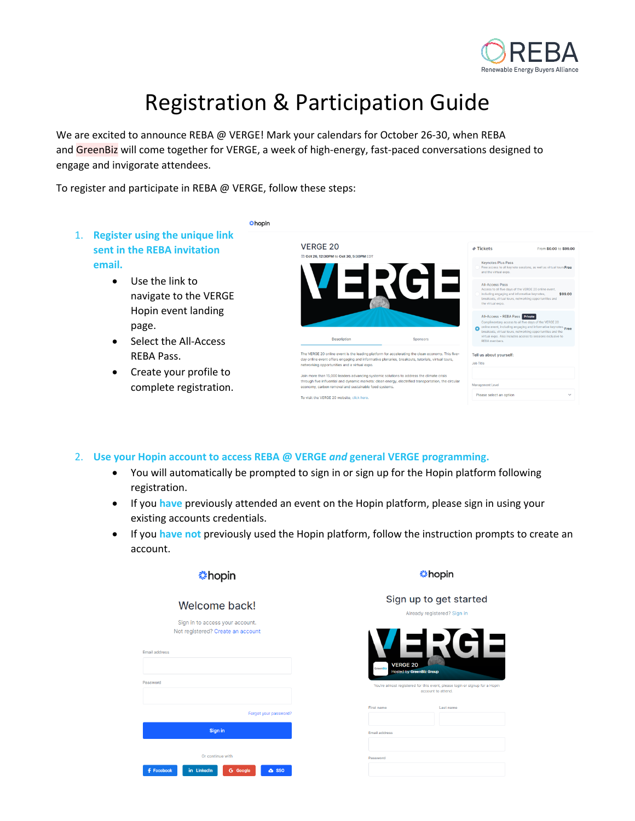

## Registration & Participation Guide

We are excited to announce REBA @ VERGE! Mark your calendars for October 26-30, when REBA and GreenBiz will come together for VERGE, a week of high-energy, fast-paced conversations designed to engage and invigorate attendees.

**Chopin** 

To register and participate in REBA @ VERGE, follow these steps:

- 1. **Register using the unique link sent in the REBA invitation email.**
	- Use the link to navigate to the VERGE Hopin event landing page.
	- Select the All-Access REBA Pass.
	- Create your profile to complete registration.

| <b>VERGE 20</b><br>□ Oct 26, 12:30PM to Oct 30, 5:30PM EDT                                            |                                                                                                                                                                                                      | $\phi$ Tickets                                     | From \$0.00 to \$99.00                                                                                                                                                                                                                                                                  |
|-------------------------------------------------------------------------------------------------------|------------------------------------------------------------------------------------------------------------------------------------------------------------------------------------------------------|----------------------------------------------------|-----------------------------------------------------------------------------------------------------------------------------------------------------------------------------------------------------------------------------------------------------------------------------------------|
|                                                                                                       |                                                                                                                                                                                                      | <b>Keynotes Plus Pass</b><br>and the virtual expo. | Free access to all keynote sessions, as well as virtual toursFree                                                                                                                                                                                                                       |
|                                                                                                       |                                                                                                                                                                                                      | <b>All-Access Pass</b><br>the virtual expo.        | Access to all five days of the VERGE 20 online event.<br>including engaging and informative keynotes,<br>\$99.00<br>breakouts, virtual tours, networking opportunities and                                                                                                              |
|                                                                                                       |                                                                                                                                                                                                      |                                                    |                                                                                                                                                                                                                                                                                         |
| <b>Description</b>                                                                                    | Sponsors                                                                                                                                                                                             | RFRA members.                                      | All-Access - REBA Pass Private<br>Complimentary access to all five days of the VERGE 20<br>online event, including engaging and informative keynotes, Free<br>breakouts, virtual tours, networking opportunities and the<br>virtual expo. Also includes access to sessions exclusive to |
|                                                                                                       | The VERGE 20 online event is the leading platform for accelerating the clean economy. This five-<br>day online event offers engaging and informative plenaries, breakouts, tutorials, virtual tours, | Tell us about yourself:<br><b>Job Title</b>        |                                                                                                                                                                                                                                                                                         |
| networking opportunities and a virtual expo.<br>economy, carbon removal and sustainable food systems. | Join more than 15,000 leaders advancing systemic solutions to address the climate crisis<br>through five influential and dynamic markets: clean energy, electrified transportation, the circular     | Management Level                                   |                                                                                                                                                                                                                                                                                         |

- 2. **Use your Hopin account to access REBA @ VERGE** *and* **general VERGE programming.**
	- You will automatically be prompted to sign in or sign up for the Hopin platform following registration.
	- If you **have** previously attended an event on the Hopin platform, please sign in using your existing accounts credentials.
	- If you **have not** previously used the Hopin platform, follow the instruction prompts to create an account.

| Welcome back!                                                        |
|----------------------------------------------------------------------|
| Sign in to access your account.<br>Not registered? Create an account |
| mail address                                                         |
|                                                                      |
| assword                                                              |
|                                                                      |
| Forgot your password?                                                |
| Sign in                                                              |
| Or continue with                                                     |
| in LinkedIn<br>Facebook<br>& SSO<br><b>G</b> Google                  |

hopin